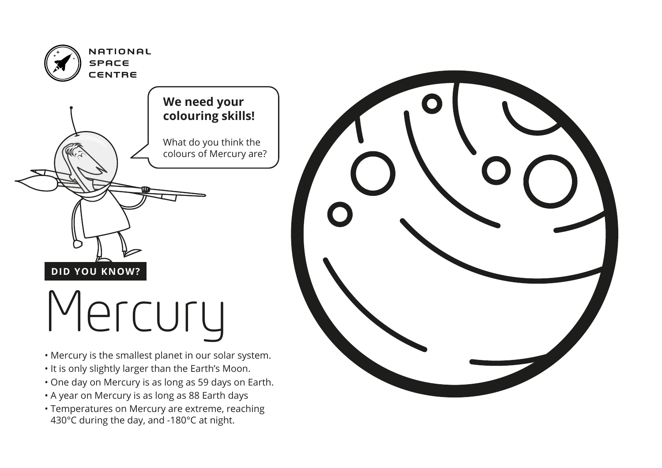

- Mercury is the smallest planet in our solar system.
- It is only slightly larger than the Earth's Moon.
- One day on Mercury is as long as 59 days on Earth.
- A year on Mercury is as long as 88 Earth days
- Temperatures on Mercury are extreme, reaching 430°C during the day, and -180°C at night.

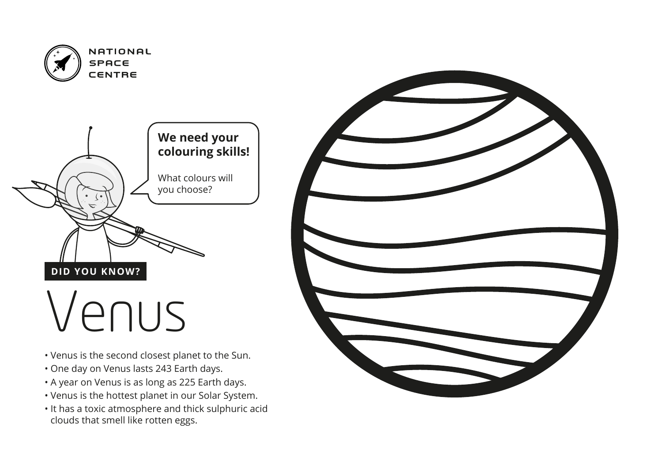

NATIONAL

- Venus is the second closest planet to the Sun.
- One day on Venus lasts 243 Earth days.
- A year on Venus is as long as 225 Earth days.
- Venus is the hottest planet in our Solar System.
- It has a toxic atmosphere and thick sulphuric acid clouds that smell like rotten eggs.

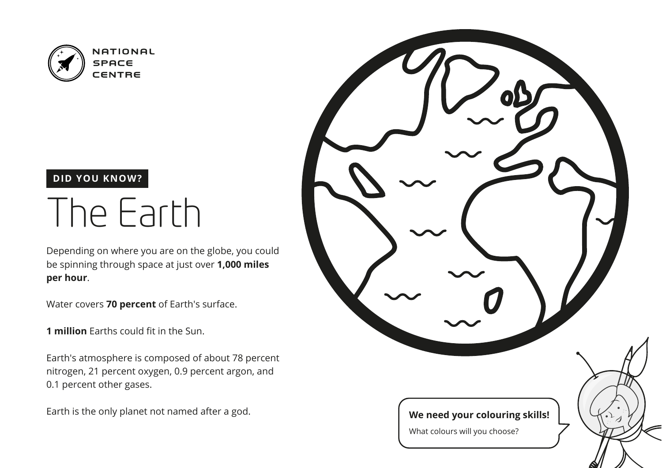

### The Earth

Depending on where you are on the globe, you could be spinning through space at just over **1,000 miles per hour**.

Water covers **70 percent** of Earth's surface.

**1 million** Earths could fit in the Sun.

Earth's atmosphere is composed of about 78 percent nitrogen, 21 percent oxygen, 0.9 percent argon, and 0.1 percent other gases.

Earth is the only planet not named after a god.

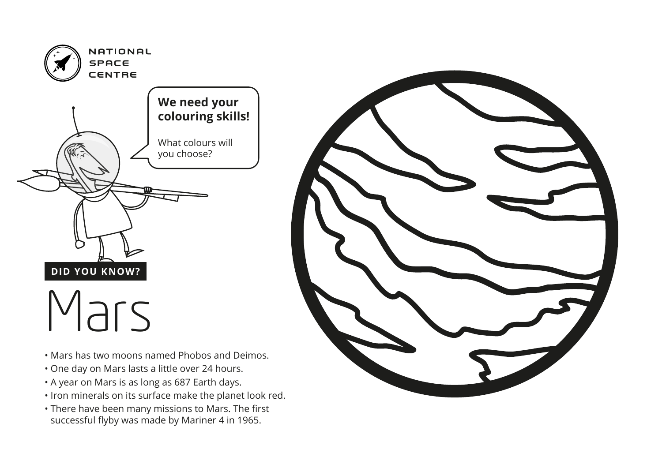

- Mars has two moons named Phobos and Deimos.
- One day on Mars lasts a little over 24 hours.
- A year on Mars is as long as 687 Earth days.
- Iron minerals on its surface make the planet look red.
- There have been many missions to Mars. The first successful flyby was made by Mariner 4 in 1965.

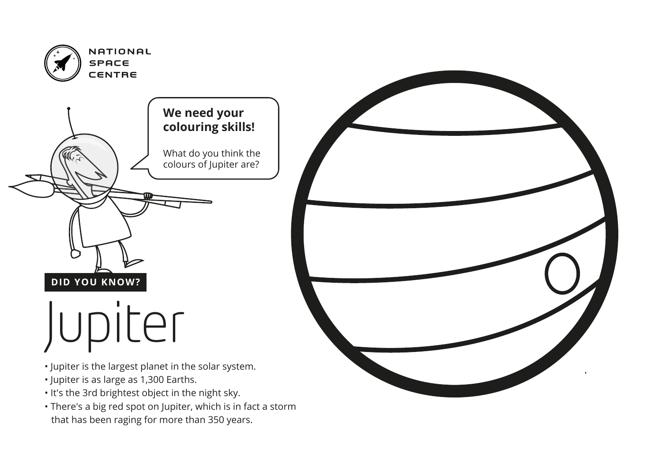

- Jupiter is the largest planet in the solar system.
- Jupiter is as large as 1,300 Earths.
- It's the 3rd brightest object in the night sky.
- There's a big red spot on Jupiter, which is in fact a storm that has been raging for more than 350 years.

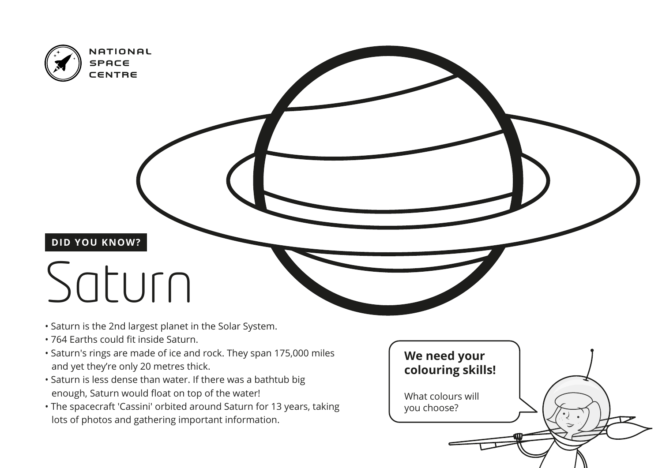

## Saturn

- Saturn is the 2nd largest planet in the Solar System.
- 764 Earths could fit inside Saturn.
- Saturn's rings are made of ice and rock. They span 175,000 miles and yet they're only 20 metres thick.
- Saturn is less dense than water. If there was a bathtub big enough, Saturn would float on top of the water!
- The spacecraft 'Cassini' orbited around Saturn for 13 years, taking lots of photos and gathering important information.

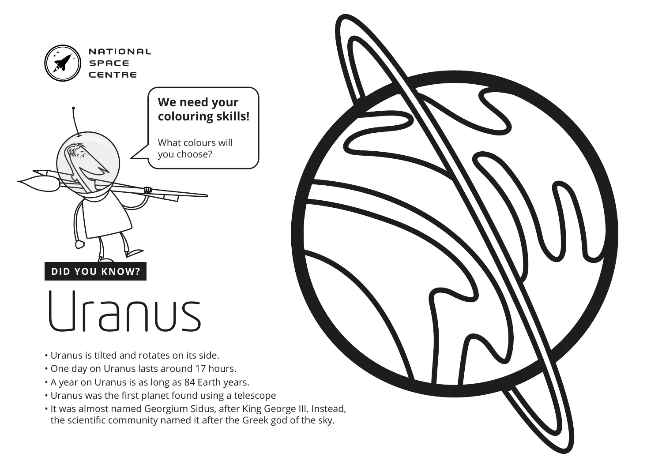

- Uranus is tilted and rotates on its side.
- One day on Uranus lasts around 17 hours.
- A year on Uranus is as long as 84 Earth years.
- Uranus was the first planet found using a telescope
- It was almost named Georgium Sidus, after King George III. Instead, the scientific community named it after the Greek god of the sky.

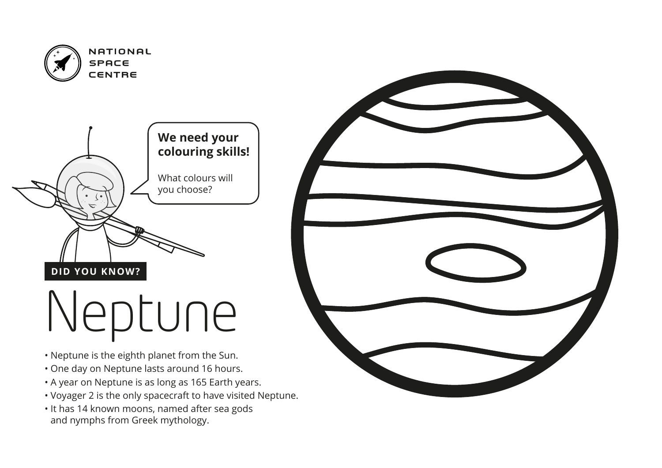

NATIONAL

- Neptune is the eighth planet from the Sun.
- One day on Neptune lasts around 16 hours.
- A year on Neptune is as long as 165 Earth years.
- Voyager 2 is the only spacecraft to have visited Neptune.
- It has 14 known moons, named after sea gods and nymphs from Greek mythology.

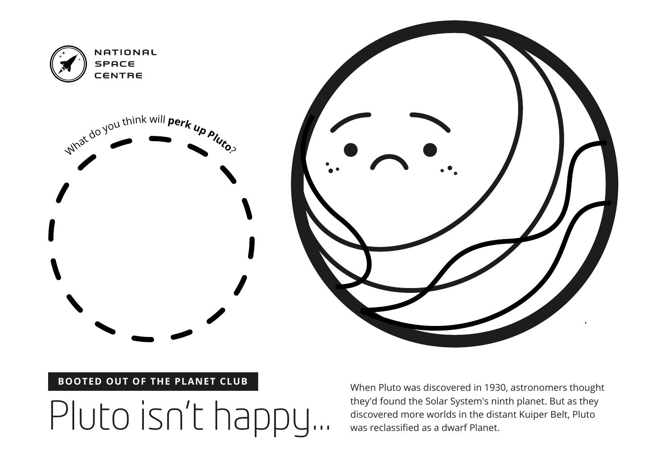

#### **BOOTED OUT OF THE PLANET CLUB**

They'd found the Solar System's ninth planet. But as they<br>discovered more worlds in the distant Kuiper Belt, Pluto<br>was reclassified as a dwarf Planet.

When Pluto was discovered in 1930, astronomers thought they'd found the Solar System's ninth planet. But as they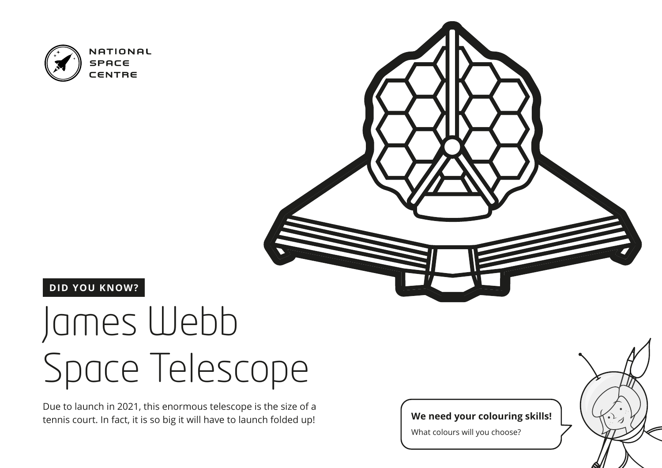

#### **DID YOU KNOW?**

### James Webb Space Telescope

Due to launch in 2021, this enormous telescope is the size of a tennis court. In fact, it is so big it will have to launch folded up!

**We need your colouring skills!**

What colours will you choose?

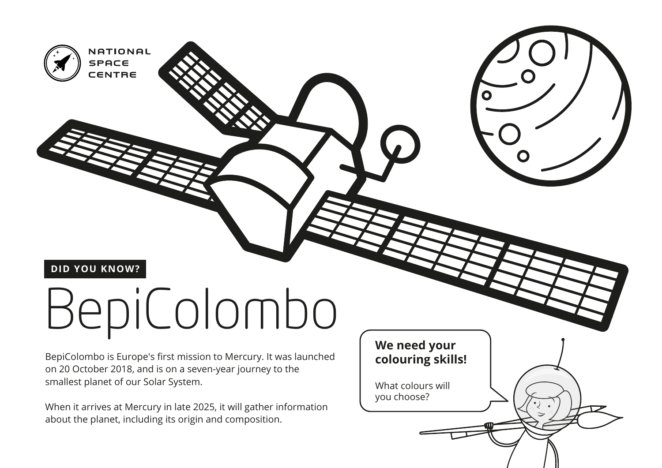

NATIONAL

**SPACE** CENTRE

# BepiColombo

BepiColombo is Europe's first mission to Mercury. It was launched on 20 October 2018, and is on a seven-year journey to the smallest planet of our Solar System.

When it arrives at Mercury in late 2025, it will gather information about the planet, including its origin and composition.

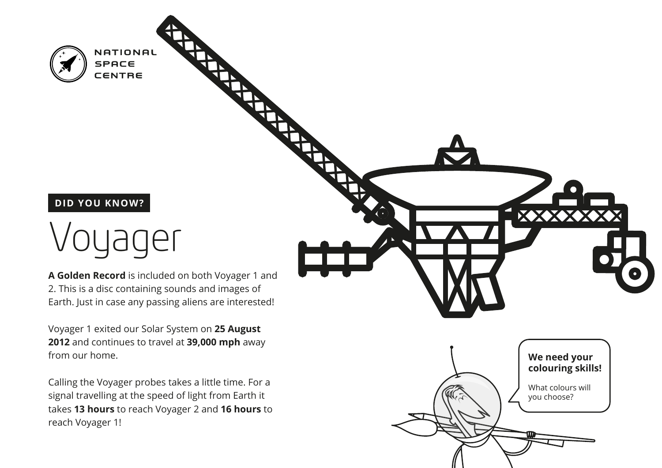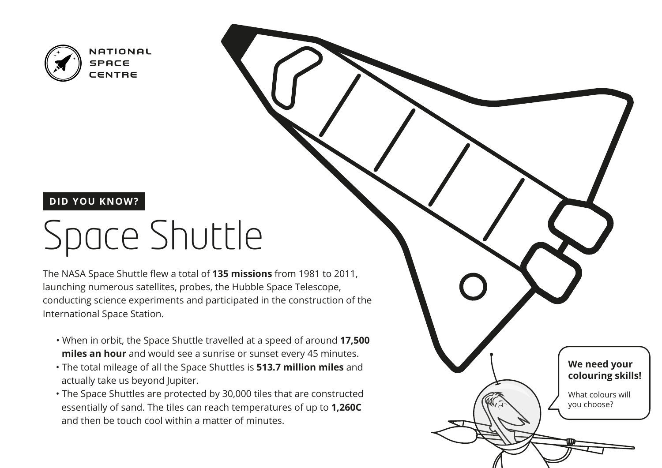

#### **DID YOU KNOW?**

### Space Shuttle

The NASA Space Shuttle flew a total of **135 missions** from 1981 to 2011, launching numerous satellites, probes, the Hubble Space Telescope, conducting science experiments and participated in the construction of the International Space Station.

- When in orbit, the Space Shuttle travelled at a speed of around **17,500 miles an hour** and would see a sunrise or sunset every 45 minutes.
- The total mileage of all the Space Shuttles is **513.7 million miles** and actually take us beyond Jupiter.
- The Space Shuttles are protected by 30,000 tiles that are constructed essentially of sand. The tiles can reach temperatures of up to **1,260C**  and then be touch cool within a matter of minutes.

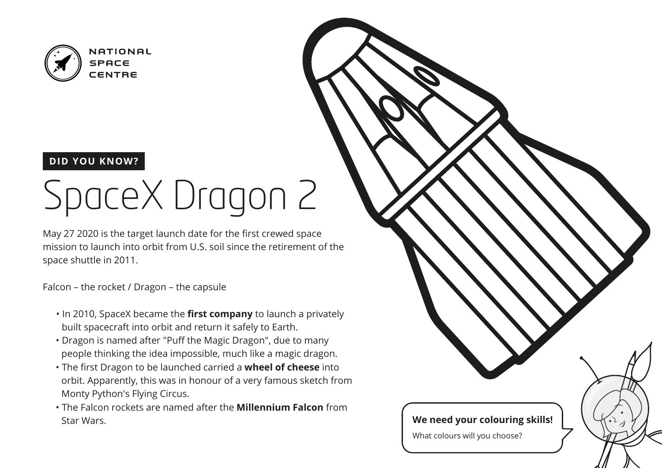

#### **DID YOU KNOW?**

## SpaceX Dragon 2

May 27 2020 is the target launch date for the first crewed space mission to launch into orbit from U.S. soil since the retirement of the space shuttle in 2011.

Falcon – the rocket / Dragon – the capsule

- In 2010, SpaceX became the **first company** to launch a privately built spacecraft into orbit and return it safely to Earth.
- Dragon is named after "Puff the Magic Dragon", due to many people thinking the idea impossible, much like a magic dragon.
- The first Dragon to be launched carried a **wheel of cheese** into orbit. Apparently, this was in honour of a very famous sketch from Monty Python's Flying Circus.
- The Falcon rockets are named after the **Millennium Falcon** from Star Wars.

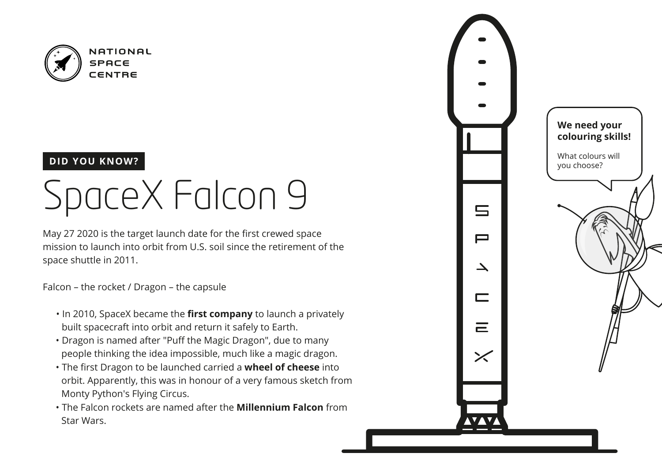

#### **DID YOU KNOW?**

### SpaceX Falcon 9

May 27 2020 is the target launch date for the first crewed space mission to launch into orbit from U.S. soil since the retirement of the space shuttle in 2011.

Falcon – the rocket / Dragon – the capsule

- In 2010, SpaceX became the **first company** to launch a privately built spacecraft into orbit and return it safely to Earth.
- Dragon is named after "Puff the Magic Dragon", due to many people thinking the idea impossible, much like a magic dragon.
- The first Dragon to be launched carried a **wheel of cheese** into orbit. Apparently, this was in honour of a very famous sketch from Monty Python's Flying Circus.
- The Falcon rockets are named after the **Millennium Falcon** from Star Wars.

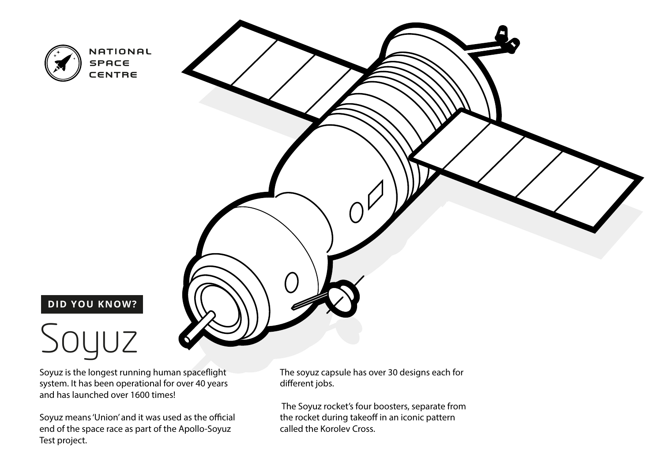

### **DID YOU KNOW?**

### $JUZ$

Soyuz is the longest running human spaceflight system. It has been operational for over 40 years and has launched over 1600 times!

Soyuz means 'Union' and it was used as the official end of the space race as part of the Apollo-Soyuz Test project.

The soyuz capsule has over 30 designs each for different jobs.

 The Soyuz rocket's four boosters, separate from the rocket during takeoff in an iconic pattern called the Korolev Cross.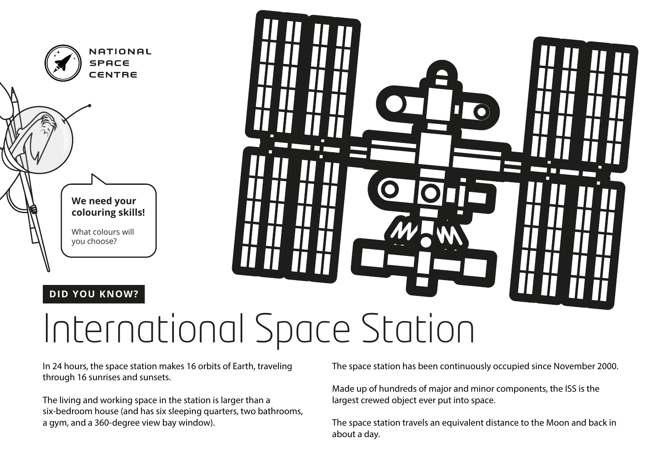



In 24 hours, the space station makes 16 orbits of Earth, traveling through 16 sunrises and sunsets.

The living and working space in the station is larger than a six-bedroom house (and has six sleeping quarters, two bathrooms, a gym, and a 360-degree view bay window).

The space station has been continuously occupied since November 2000.

Made up of hundreds of major and minor components, the ISS is the largest crewed object ever put into space.

The space station travels an equivalent distance to the Moon and back in about a day.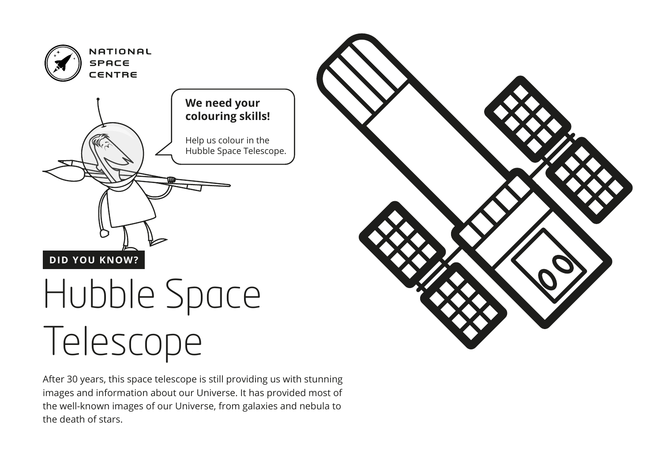

# Telescope

After 30 years, this space telescope is still providing us with stunning images and information about our Universe. It has provided most of the well-known images of our Universe, from galaxies and nebula to the death of stars.

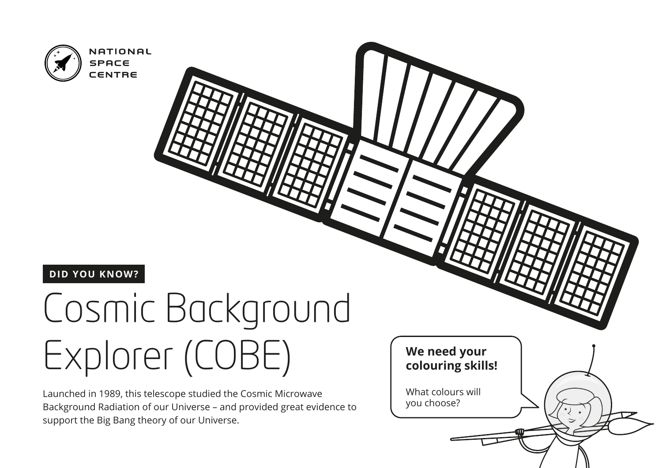

### Cosmic Background Explorer (COBE)

Launched in 1989, this telescope studied the Cosmic Microwave Background Radiation of our Universe – and provided great evidence to support the Big Bang theory of our Universe.

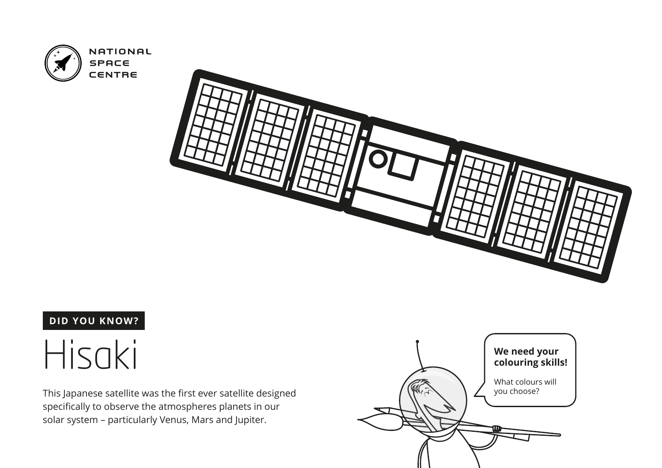



### Hisaki

This Japanese satellite was the first ever satellite designed specifically to observe the atmospheres planets in our solar system – particularly Venus, Mars and Jupiter.

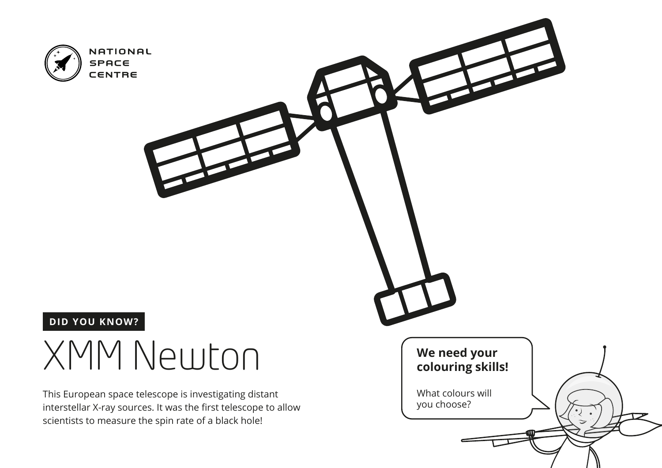

### XMM Newton

This European space telescope is investigating distant interstellar X-ray sources. It was the first telescope to allow scientists to measure the spin rate of a black hole!

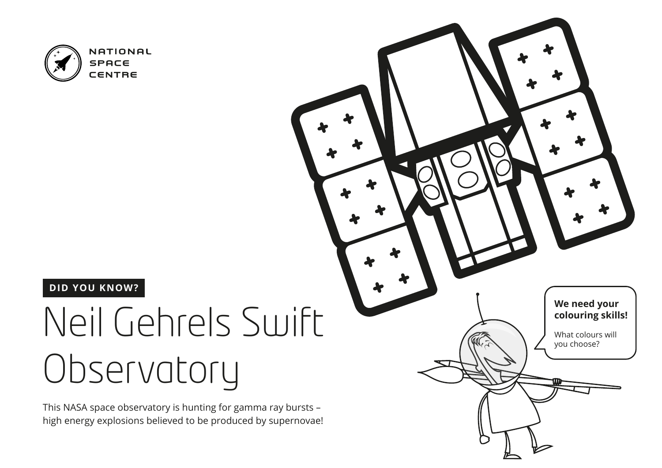

#### **DID YOU KNOW?**

### Neil Gehrels Swift Observatory

This NASA space observatory is hunting for gamma ray bursts – high energy explosions believed to be produced by supernovae!

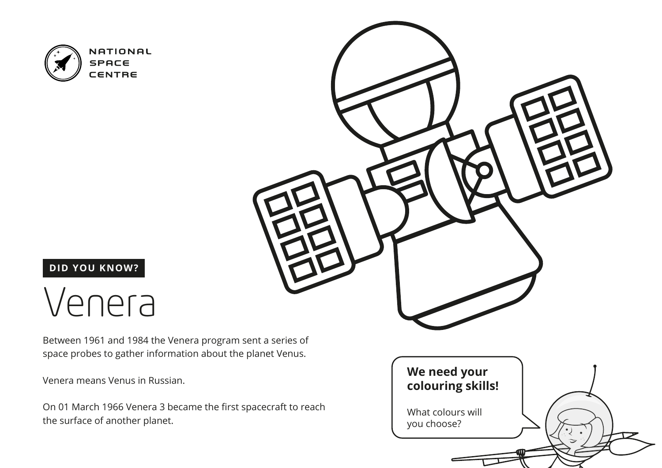

### **DID YOU KNOW?**

### Venera

Between 1961 and 1984 the Venera program sent a series of space probes to gather information about the planet Venus.

Venera means Venus in Russian.

On 01 March 1966 Venera 3 became the first spacecraft to reach the surface of another planet.



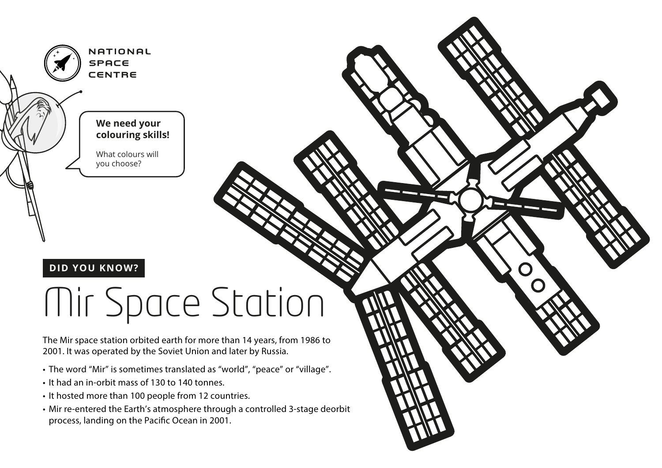

### Mir Space Station

The Mir space station orbited earth for more than 14 years, from 1986 to 2001. It was operated by the Soviet Union and later by Russia.

- The word "Mir" is sometimes translated as "world", "peace" or "village".
- It had an in-orbit mass of 130 to 140 tonnes.
- It hosted more than 100 people from 12 countries.
- Mir re-entered the Earth's atmosphere through a controlled 3-stage deorbit process, landing on the Pacific Ocean in 2001.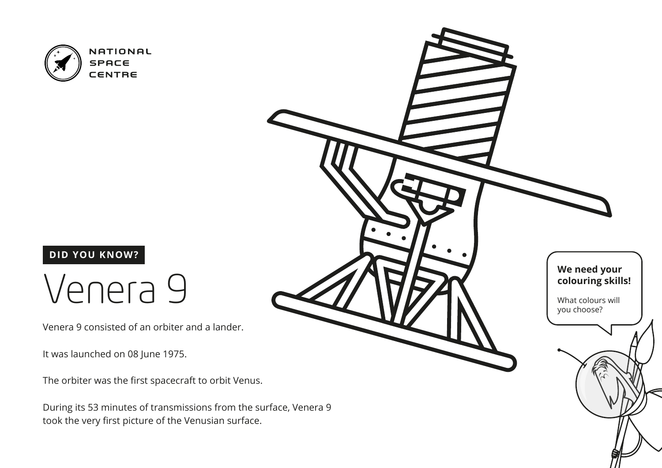

### Venera 9

Venera 9 consisted of an orbiter and a lander.

It was launched on 08 June 1975.

The orbiter was the first spacecraft to orbit Venus.

During its 53 minutes of transmissions from the surface, Venera 9 took the very first picture of the Venusian surface.

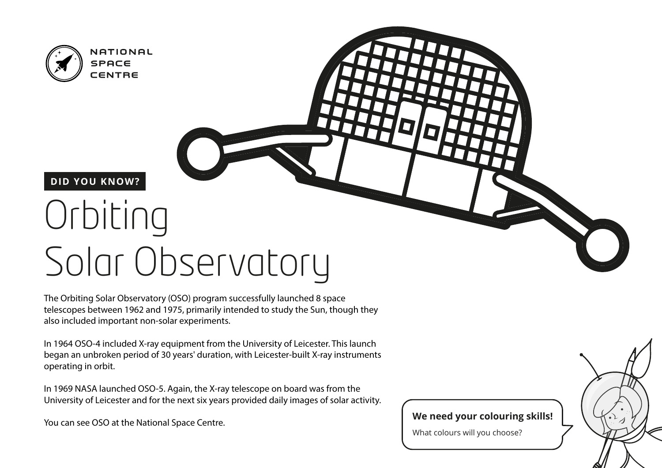

## Orbiting Solar Observatory

The Orbiting Solar Observatory (OSO) program successfully launched 8 space telescopes between 1962 and 1975, primarily intended to study the Sun, though they also included important non-solar experiments.

In 1964 OSO-4 included X-ray equipment from the University of Leicester. This launch began an unbroken period of 30 years' duration, with Leicester-built X-ray instruments operating in orbit.

In 1969 NASA launched OSO-5. Again, the X-ray telescope on board was from the University of Leicester and for the next six years provided daily images of solar activity.

You can see OSO at the National Space Centre.

#### **We need your colouring skills!**

What colours will you choose?

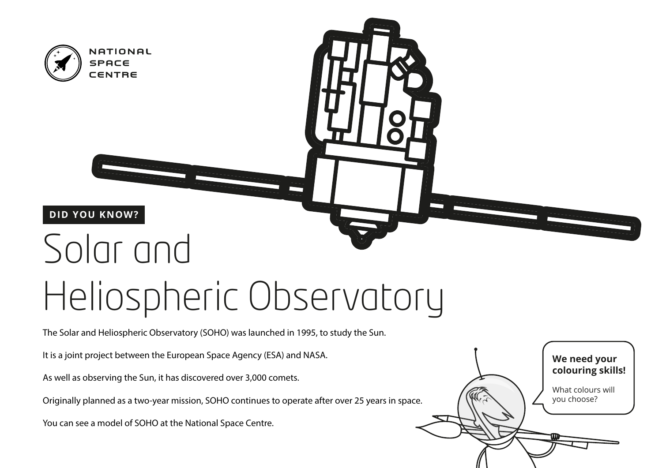

### Heliospheric Observatory

The Solar and Heliospheric Observatory (SOHO) was launched in 1995, to study the Sun.

It is a joint project between the European Space Agency (ESA) and NASA.

As well as observing the Sun, it has discovered over 3,000 comets.

Originally planned as a two-year mission, SOHO continues to operate after over 25 years in space.

You can see a model of SOHO at the National Space Centre.

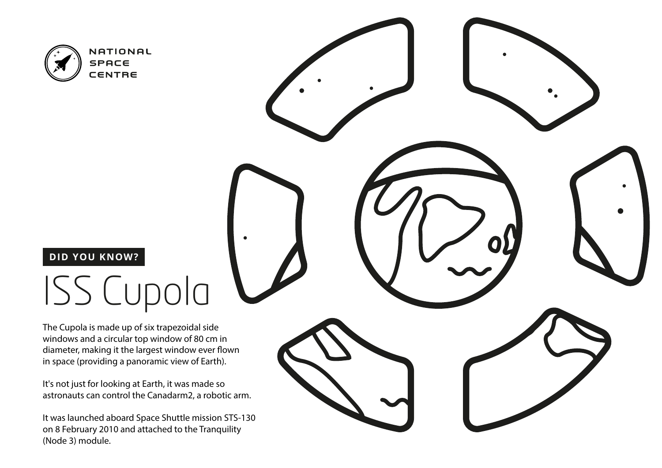

### **DID YOU KNOW?**

### ISS Cupola

The Cupola is made up of six trapezoidal side windows and a circular top window of 80 cm in diameter, making it the largest window ever flown in space (providing a panoramic view of Earth).

It's not just for looking at Earth, it was made so astronauts can control the Canadarm2, a robotic arm.

It was launched aboard Space Shuttle mission STS-130 on 8 February 2010 and attached to the Tranquility (Node 3) module.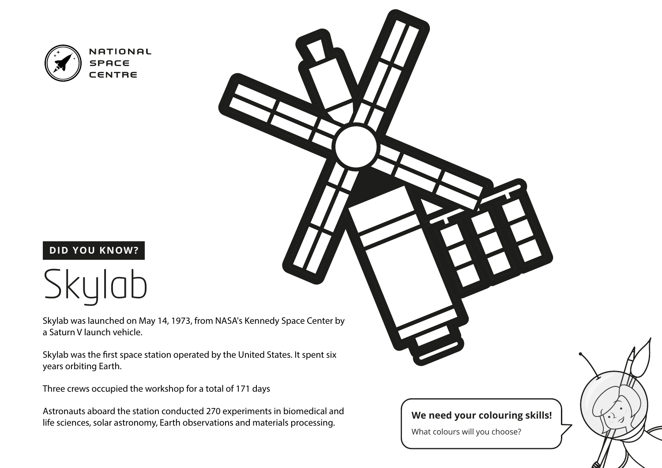

#### **DID YOU KNOW?**



Skylab was launched on May 14, 1973, from NASA's Kennedy Space Center by a Saturn V launch vehicle.

Skylab was the first space station operated by the United States. It spent six years orbiting Earth.

Three crews occupied the workshop for a total of 171 days

Astronauts aboard the station conducted 270 experiments in biomedical and life sciences, solar astronomy, Earth observations and materials processing.

#### **We need your colouring skills!**

What colours will you choose?

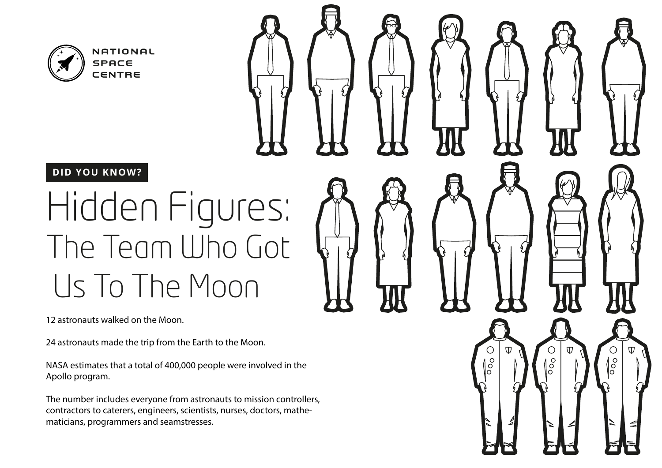

### Hidden Figures: The Team Who Got Us To The Moon

12 astronauts walked on the Moon.

24 astronauts made the trip from the Earth to the Moon.

NASA estimates that a total of 400,000 people were involved in the Apollo program.

 $\delta$ 

 $\degree$ 

The number includes everyone from astronauts to mission controllers, contractors to caterers, engineers, scientists, nurses, doctors, mathematicians, programmers and seamstresses.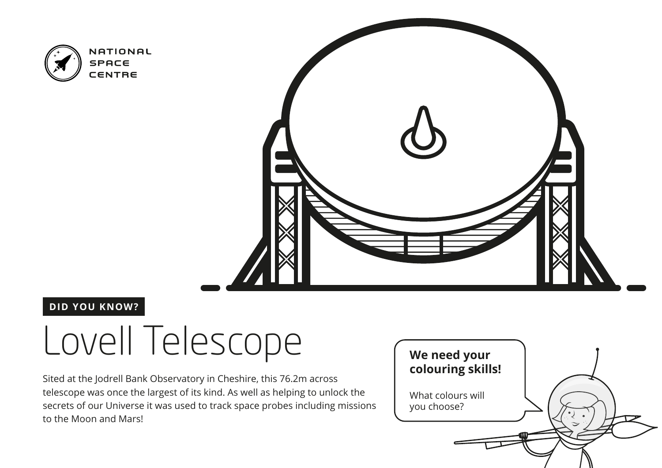



#### **DID YOU KNOW?**

### Lovell Telescope

Sited at the Jodrell Bank Observatory in Cheshire, this 76.2m across telescope was once the largest of its kind. As well as helping to unlock the secrets of our Universe it was used to track space probes including missions to the Moon and Mars!